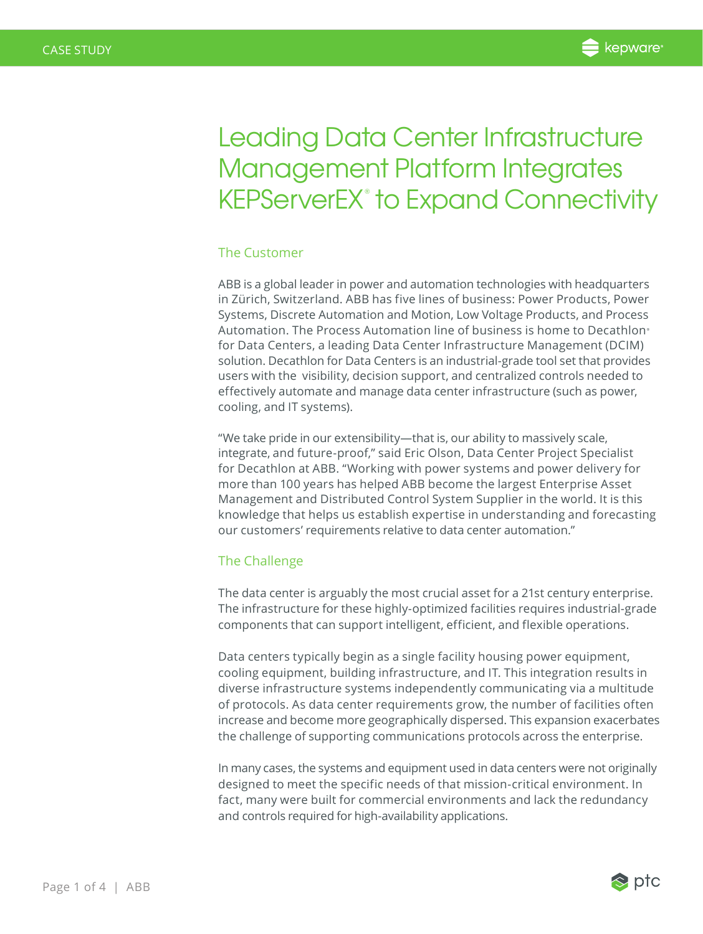# Leading Data Center Infrastructure Management Platform Integrates KEPServerEX® to Expand Connectivity

# The Customer

ABB is a global leader in power and automation technologies with headquarters in Zürich, Switzerland. ABB has five lines of business: Power Products, Power Systems, Discrete Automation and Motion, Low Voltage Products, and Process Automation. The Process Automation line of business is home to Decathlon<sup>®</sup> for Data Centers, a leading Data Center Infrastructure Management (DCIM) solution. Decathlon for Data Centers is an industrial-grade tool set that provides users with the visibility, decision support, and centralized controls needed to effectively automate and manage data center infrastructure (such as power, cooling, and IT systems).

"We take pride in our extensibility—that is, our ability to massively scale, integrate, and future-proof," said Eric Olson, Data Center Project Specialist for Decathlon at ABB. "Working with power systems and power delivery for more than 100 years has helped ABB become the largest Enterprise Asset Management and Distributed Control System Supplier in the world. It is this knowledge that helps us establish expertise in understanding and forecasting our customers' requirements relative to data center automation."

## The Challenge

The data center is arguably the most crucial asset for a 21st century enterprise. The infrastructure for these highly-optimized facilities requires industrial-grade components that can support intelligent, efficient, and flexible operations.

Data centers typically begin as a single facility housing power equipment, cooling equipment, building infrastructure, and IT. This integration results in diverse infrastructure systems independently communicating via a multitude of protocols. As data center requirements grow, the number of facilities often increase and become more geographically dispersed. This expansion exacerbates the challenge of supporting communications protocols across the enterprise.

In many cases, the systems and equipment used in data centers were not originally designed to meet the specific needs of that mission-critical environment. In fact, many were built for commercial environments and lack the redundancy and controls required for high-availability applications.

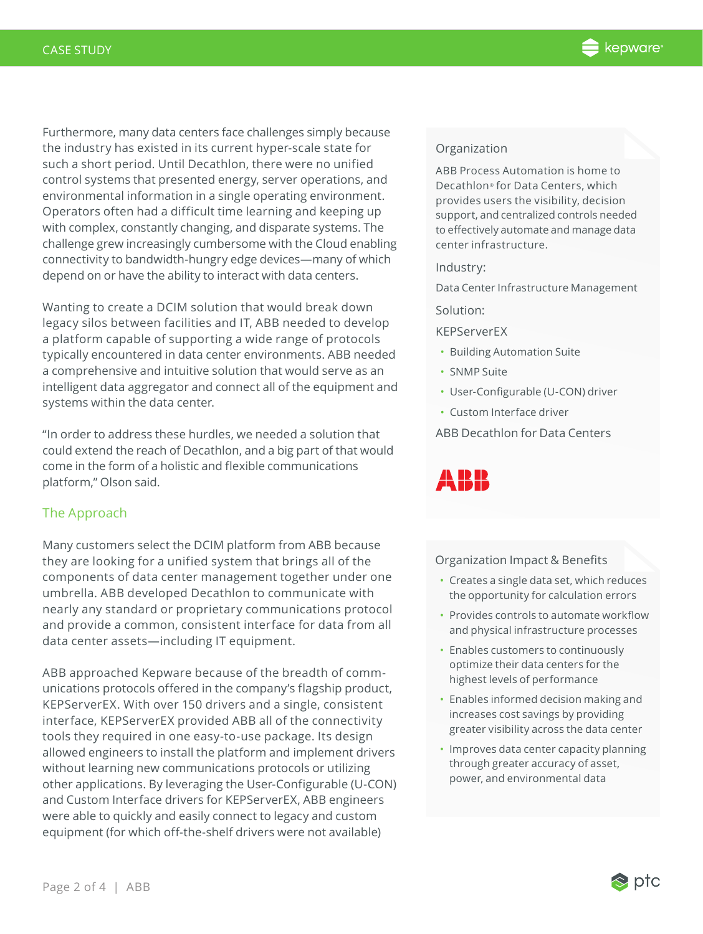Furthermore, many data centers face challenges simply because the industry has existed in its current hyper-scale state for such a short period. Until Decathlon, there were no unified control systems that presented energy, server operations, and environmental information in a single operating environment. Operators often had a difficult time learning and keeping up with complex, constantly changing, and disparate systems. The challenge grew increasingly cumbersome with the Cloud enabling connectivity to bandwidth-hungry edge devices—many of which depend on or have the ability to interact with data centers.

Wanting to create a DCIM solution that would break down legacy silos between facilities and IT, ABB needed to develop a platform capable of supporting a wide range of protocols typically encountered in data center environments. ABB needed a comprehensive and intuitive solution that would serve as an intelligent data aggregator and connect all of the equipment and systems within the data center.

"In order to address these hurdles, we needed a solution that could extend the reach of Decathlon, and a big part of that would come in the form of a holistic and flexible communications platform," Olson said.

# The Approach

Many customers select the DCIM platform from ABB because they are looking for a unified system that brings all of the components of data center management together under one umbrella. ABB developed Decathlon to communicate with nearly any standard or proprietary communications protocol and provide a common, consistent interface for data from all data center assets—including IT equipment.

ABB approached Kepware because of the breadth of communications protocols offered in the company's flagship product, KEPServerEX. With over 150 drivers and a single, consistent interface, KEPServerEX provided ABB all of the connectivity tools they required in one easy-to-use package. Its design allowed engineers to install the platform and implement drivers without learning new communications protocols or utilizing other applications. By leveraging the User-Configurable (U-CON) and Custom Interface drivers for KEPServerEX, ABB engineers were able to quickly and easily connect to legacy and custom equipment (for which off-the-shelf drivers were not available)

### Organization

ABB Process Automation is home to Decathlon® for Data Centers, which provides users the visibility, decision support, and centralized controls needed to effectively automate and manage data center infrastructure.

### Industry:

Data Center Infrastructure Management

#### Solution:

KEPServerEX

- Building Automation Suite
- SNMP Suite
- User-Configurable (U-CON) driver
- Custom Interface driver

ABB Decathlon for Data Centers

# ARR

#### Organization Impact & Benefits

- Creates a single data set, which reduces the opportunity for calculation errors
- Provides controls to automate workflow and physical infrastructure processes
- Enables customers to continuously optimize their data centers for the highest levels of performance
- Enables informed decision making and increases cost savings by providing greater visibility across the data center
- Improves data center capacity planning through greater accuracy of asset, power, and environmental data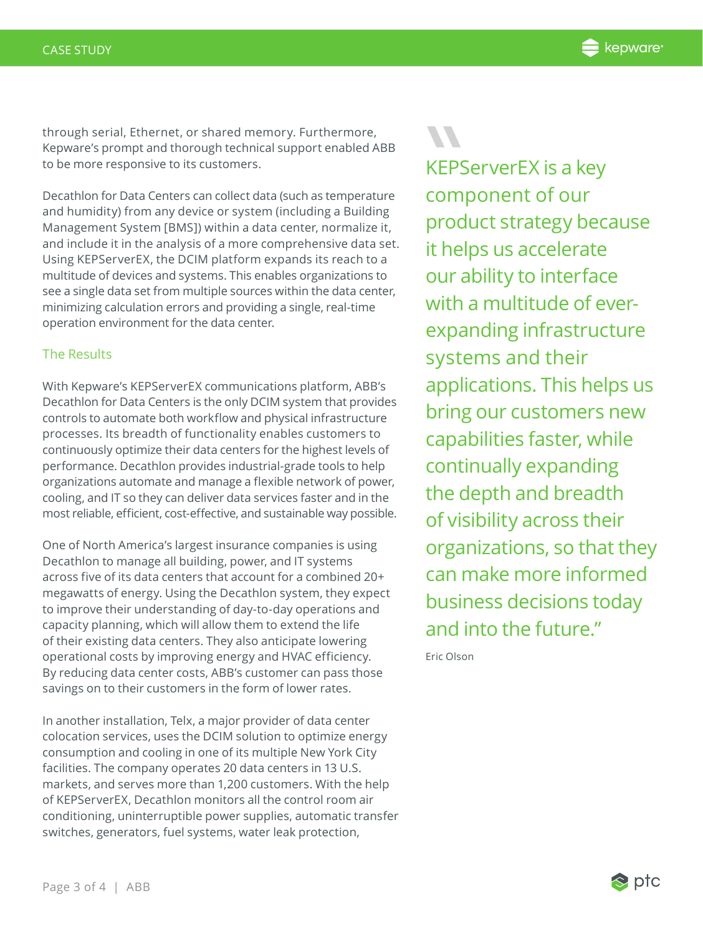through serial, Ethernet, or shared memory. Furthermore, Kepware's prompt and thorough technical support enabled ABB to be more responsive to its customers.

Decathlon for Data Centers can collect data (such as temperature and humidity) from any device or system (including a Building Management System [BMS]) within a data center, normalize it, and include it in the analysis of a more comprehensive data set. Using KEPServerEX, the DCIM platform expands its reach to a multitude of devices and systems. This enables organizations to see a single data set from multiple sources within the data center, minimizing calculation errors and providing a single, real-time operation environment for the data center.

# The Results

With Kepware's KEPServerEX communications platform, ABB's Decathlon for Data Centers is the only DCIM system that provides controls to automate both workflow and physical infrastructure processes. Its breadth of functionality enables customers to continuously optimize their data centers for the highest levels of performance. Decathlon provides industrial-grade tools to help organizations automate and manage a flexible network of power, cooling, and IT so they can deliver data services faster and in the most reliable, efficient, cost-effective, and sustainable way possible.

One of North America's largest insurance companies is using Decathlon to manage all building, power, and IT systems across five of its data centers that account for a combined 20+ megawatts of energy. Using the Decathlon system, they expect to improve their understanding of day-to-day operations and capacity planning, which will allow them to extend the life of their existing data centers. They also anticipate lowering operational costs by improving energy and HVAC efficiency. By reducing data center costs, ABB's customer can pass those savings on to their customers in the form of lower rates.

In another installation, Telx, a major provider of data center colocation services, uses the DCIM solution to optimize energy consumption and cooling in one of its multiple New York City facilities. The company operates 20 data centers in 13 U.S. markets, and serves more than 1,200 customers. With the help of KEPServerEX, Decathlon monitors all the control room air conditioning, uninterruptible power supplies, automatic transfer switches, generators, fuel systems, water leak protection,

KEPS<br>
comp<br>
prod KEPServerEX is a key component of our product strategy because it helps us accelerate our ability to interface with a multitude of everexpanding infrastructure systems and their applications. This helps us bring our customers new capabilities faster, while continually expanding the depth and breadth of visibility across their organizations, so that they can make more informed business decisions today and into the future."

Eric Olson